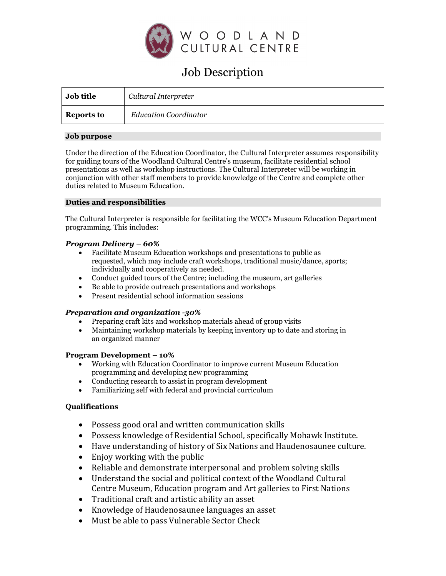

# Job Description

| <b>Job title</b> | Cultural Interpreter         |
|------------------|------------------------------|
| Reports to       | <b>Education Coordinator</b> |

## **Job purpose**

Under the direction of the Education Coordinator, the Cultural Interpreter assumes responsibility for guiding tours of the Woodland Cultural Centre's museum, facilitate residential school presentations as well as workshop instructions. The Cultural Interpreter will be working in conjunction with other staff members to provide knowledge of the Centre and complete other duties related to Museum Education.

## **Duties and responsibilities**

The Cultural Interpreter is responsible for facilitating the WCC's Museum Education Department programming. This includes:

# *Program Delivery – 60%*

- Facilitate Museum Education workshops and presentations to public as requested, which may include craft workshops, traditional music/dance, sports; individually and cooperatively as needed.
- Conduct guided tours of the Centre; including the museum, art galleries
- Be able to provide outreach presentations and workshops
- Present residential school information sessions

# *Preparation and organization -30%*

- Preparing craft kits and workshop materials ahead of group visits
- Maintaining workshop materials by keeping inventory up to date and storing in an organized manner

### **Program Development – 10%**

- Working with Education Coordinator to improve current Museum Education programming and developing new programming
- Conducting research to assist in program development
- Familiarizing self with federal and provincial curriculum

# **Qualifications**

- Possess good oral and written communication skills
- Possess knowledge of Residential School, specifically Mohawk Institute.
- Have understanding of history of Six Nations and Haudenosaunee culture.
- Enjoy working with the public
- Reliable and demonstrate interpersonal and problem solving skills
- Understand the social and political context of the Woodland Cultural Centre Museum, Education program and Art galleries to First Nations
- Traditional craft and artistic ability an asset
- Knowledge of Haudenosaunee languages an asset
- Must be able to pass Vulnerable Sector Check